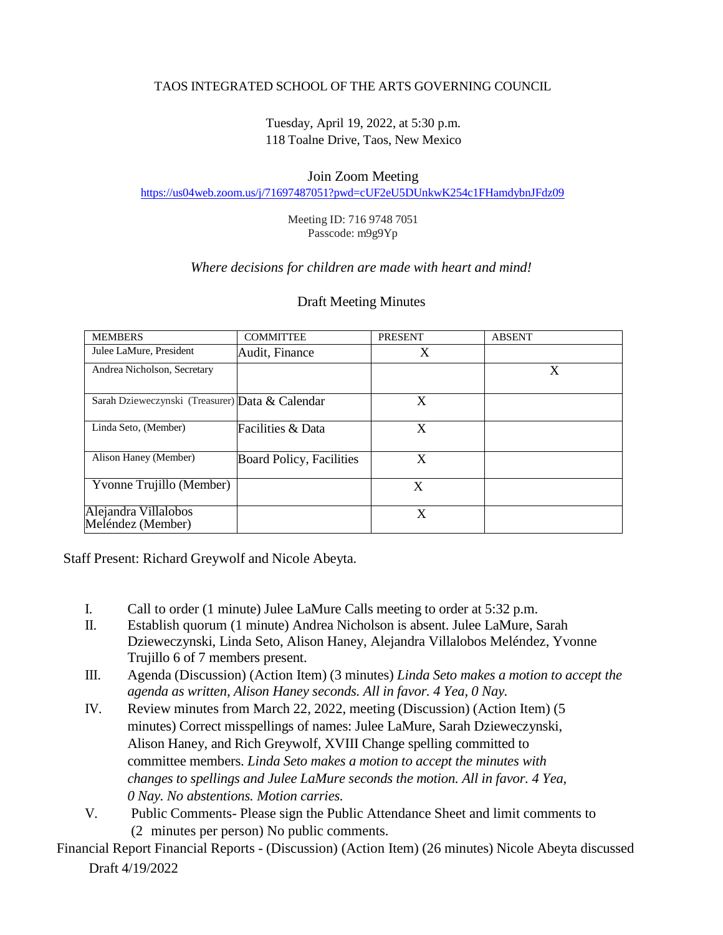## TAOS INTEGRATED SCHOOL OF THE ARTS GOVERNING COUNCIL

Tuesday, April 19, 2022, at 5:30 p.m. 118 Toalne Drive, Taos, New Mexico

## Join Zoom Meeting

<https://us04web.zoom.us/j/71697487051?pwd=cUF2eU5DUnkwK254c1FHamdybnJFdz09>

Meeting ID: 716 9748 7051 Passcode: m9g9Yp

## *Where decisions for children are made with heart and mind!*

| <b>MEMBERS</b>                                  | <b>COMMITTEE</b>                | <b>PRESENT</b> | <b>ABSENT</b> |
|-------------------------------------------------|---------------------------------|----------------|---------------|
| Julee LaMure, President                         | Audit, Finance                  | X              |               |
| Andrea Nicholson, Secretary                     |                                 |                | X             |
| Sarah Dzieweczynski (Treasurer) Data & Calendar |                                 | X              |               |
| Linda Seto, (Member)                            | Facilities & Data               | X              |               |
| Alison Haney (Member)                           | <b>Board Policy, Facilities</b> | X              |               |
| Yvonne Trujillo (Member)                        |                                 | X              |               |
| Alejandra Villalobos<br>Meléndez (Member)       |                                 | X              |               |

## Draft Meeting Minutes

Staff Present: Richard Greywolf and Nicole Abeyta.

- I. Call to order (1 minute) Julee LaMure Calls meeting to order at 5:32 p.m.
- II. Establish quorum (1 minute) Andrea Nicholson is absent. Julee LaMure, Sarah Dzieweczynski, Linda Seto, Alison Haney, Alejandra Villalobos Meléndez, Yvonne Trujillo 6 of 7 members present.
- III. Agenda (Discussion) (Action Item) (3 minutes) *Linda Seto makes a motion to accept the agenda as written, Alison Haney seconds. All in favor. 4 Yea, 0 Nay.*
- IV. Review minutes from March 22, 2022, meeting (Discussion) (Action Item) (5 minutes) Correct misspellings of names: Julee LaMure, Sarah Dzieweczynski, Alison Haney, and Rich Greywolf, XVIII Change spelling committed to committee members. *Linda Seto makes a motion to accept the minutes with changes to spellings and Julee LaMure seconds the motion. All in favor. 4 Yea, 0 Nay. No abstentions. Motion carries.*
- V. Public Comments- Please sign the Public Attendance Sheet and limit comments to (2 minutes per person) No public comments.

Draft 4/19/2022 Financial Report Financial Reports - (Discussion) (Action Item) (26 minutes) Nicole Abeyta discussed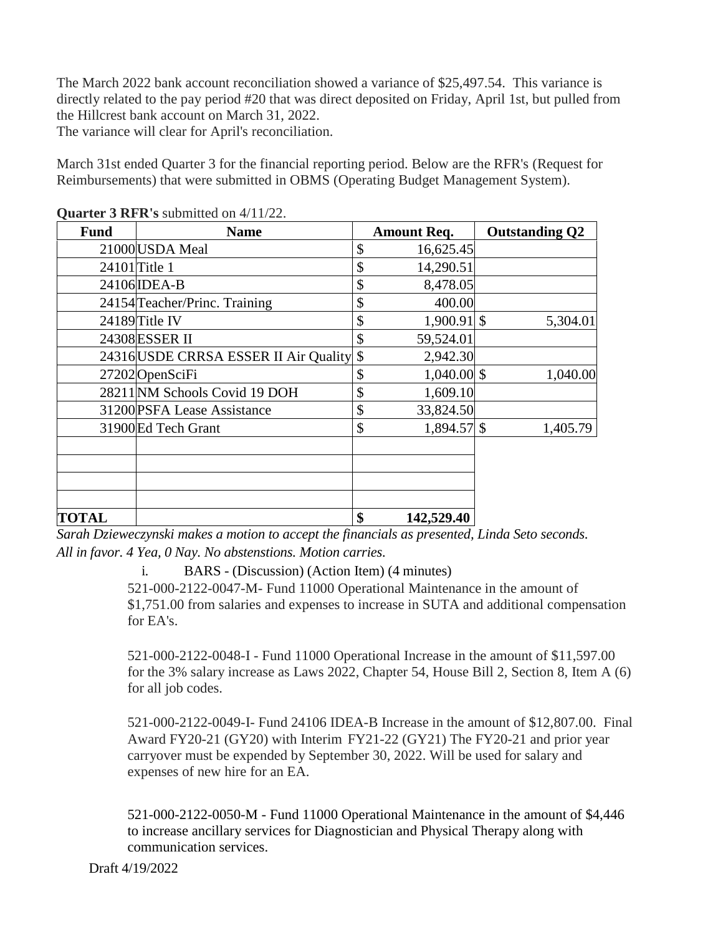The March 2022 bank account reconciliation showed a variance of \$25,497.54. This variance is directly related to the pay period #20 that was direct deposited on Friday, April 1st, but pulled from the Hillcrest bank account on March 31, 2022.

The variance will clear for April's reconciliation.

March 31st ended Quarter 3 for the financial reporting period. Below are the RFR's (Request for Reimbursements) that were submitted in OBMS (Operating Budget Management System).

| <b>Fund</b>  | <b>Name</b>                              | <b>Amount Req.</b>  | <b>Outstanding Q2</b> |
|--------------|------------------------------------------|---------------------|-----------------------|
|              | 21000 USDA Meal                          | \$<br>16,625.45     |                       |
|              | $24101$ Title 1                          | \$<br>14,290.51     |                       |
|              | 24106 <b>IDEA-B</b>                      | \$<br>8,478.05      |                       |
|              | 24154 Teacher/Princ. Training            | \$<br>400.00        |                       |
|              | 24189 Title IV                           | \$<br>$1,900.91$ \$ | 5,304.01              |
|              | 24308 ESSER II                           | \$<br>59,524.01     |                       |
|              | 24316 USDE CRRSA ESSER II Air Quality \$ | 2,942.30            |                       |
|              | 27202 OpenSciFi                          | \$<br>$1,040.00$ \$ | 1,040.00              |
|              | 28211 NM Schools Covid 19 DOH            | \$<br>1,609.10      |                       |
|              | 31200 PSFA Lease Assistance              | \$<br>33,824.50     |                       |
|              | 31900 Ed Tech Grant                      | \$<br>$1,894.57$ \$ | 1,405.79              |
|              |                                          |                     |                       |
|              |                                          |                     |                       |
| <b>TOTAL</b> |                                          | \$<br>142,529.40    |                       |

**Quarter 3 RFR's** submitted on 4/11/22.

*Sarah Dzieweczynski makes a motion to accept the financials as presented, Linda Seto seconds. All in favor. 4 Yea, 0 Nay. No abstenstions. Motion carries.*

i. BARS - (Discussion) (Action Item) (4 minutes)

521-000-2122-0047-M- Fund 11000 Operational Maintenance in the amount of \$1,751.00 from salaries and expenses to increase in SUTA and additional compensation for EA's.

521-000-2122-0048-I - Fund 11000 Operational Increase in the amount of \$11,597.00 for the 3% salary increase as Laws 2022, Chapter 54, House Bill 2, Section 8, Item A (6) for all job codes.

521-000-2122-0049-I- Fund 24106 IDEA-B Increase in the amount of \$12,807.00. Final Award FY20-21 (GY20) with Interim FY21-22 (GY21) The FY20-21 and prior year carryover must be expended by September 30, 2022. Will be used for salary and expenses of new hire for an EA.

521-000-2122-0050-M - Fund 11000 Operational Maintenance in the amount of \$4,446 to increase ancillary services for Diagnostician and Physical Therapy along with communication services.

Draft 4/19/2022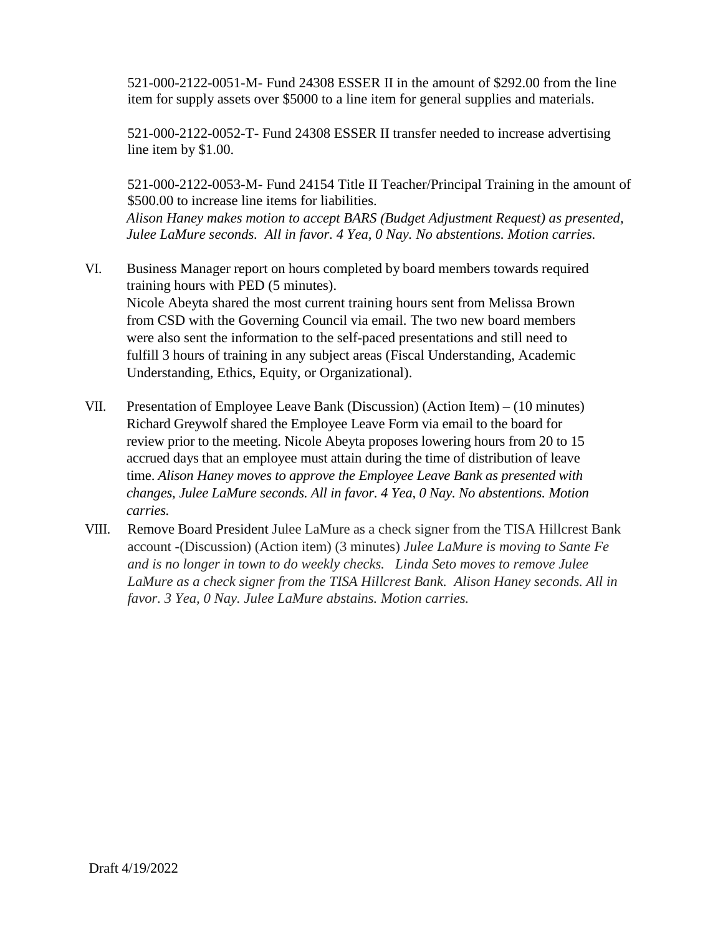521-000-2122-0051-M- Fund 24308 ESSER II in the amount of \$292.00 from the line item for supply assets over \$5000 to a line item for general supplies and materials.

521-000-2122-0052-T- Fund 24308 ESSER II transfer needed to increase advertising line item by \$1.00.

521-000-2122-0053-M- Fund 24154 Title II Teacher/Principal Training in the amount of \$500.00 to increase line items for liabilities.

*Alison Haney makes motion to accept BARS (Budget Adjustment Request) as presented, Julee LaMure seconds. All in favor. 4 Yea, 0 Nay. No abstentions. Motion carries.*

- VI. Business Manager report on hours completed by board members towards required training hours with PED (5 minutes). Nicole Abeyta shared the most current training hours sent from Melissa Brown from CSD with the Governing Council via email. The two new board members were also sent the information to the self-paced presentations and still need to fulfill 3 hours of training in any subject areas (Fiscal Understanding, Academic Understanding, Ethics, Equity, or Organizational).
- VII. Presentation of Employee Leave Bank (Discussion) (Action Item) (10 minutes) Richard Greywolf shared the Employee Leave Form via email to the board for review prior to the meeting. Nicole Abeyta proposes lowering hours from 20 to 15 accrued days that an employee must attain during the time of distribution of leave time. *Alison Haney moves to approve the Employee Leave Bank as presented with changes, Julee LaMure seconds. All in favor. 4 Yea, 0 Nay. No abstentions. Motion carries.*
- VIII. Remove Board President Julee LaMure as a check signer from the TISA Hillcrest Bank account -(Discussion) (Action item) (3 minutes) *Julee LaMure is moving to Sante Fe and is no longer in town to do weekly checks. Linda Seto moves to remove Julee LaMure as a check signer from the TISA Hillcrest Bank. Alison Haney seconds. All in favor. 3 Yea, 0 Nay. Julee LaMure abstains. Motion carries.*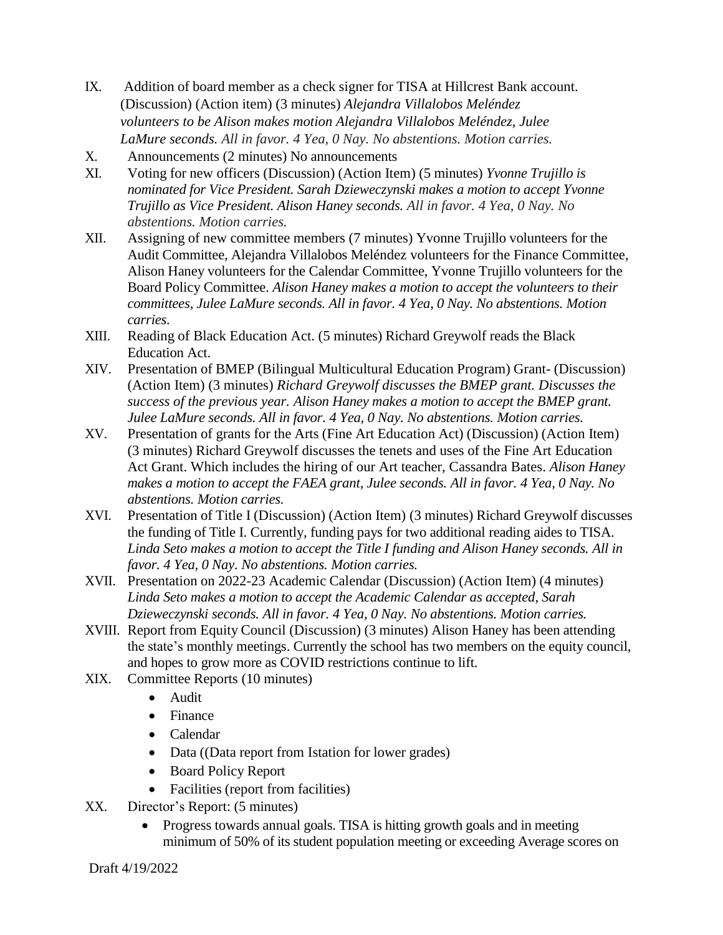- IX. Addition of board member as a check signer for TISA at Hillcrest Bank account. (Discussion) (Action item) (3 minutes) *Alejandra Villalobos Meléndez volunteers to be Alison makes motion Alejandra Villalobos Meléndez, Julee LaMure seconds. All in favor. 4 Yea, 0 Nay. No abstentions. Motion carries.*
- X. Announcements (2 minutes) No announcements
- XI. Voting for new officers (Discussion) (Action Item) (5 minutes) *Yvonne Trujillo is nominated for Vice President. Sarah Dzieweczynski makes a motion to accept Yvonne Trujillo as Vice President. Alison Haney seconds. All in favor. 4 Yea, 0 Nay. No abstentions. Motion carries.*
- XII. Assigning of new committee members (7 minutes) Yvonne Trujillo volunteers for the Audit Committee, Alejandra Villalobos Meléndez volunteers for the Finance Committee, Alison Haney volunteers for the Calendar Committee, Yvonne Trujillo volunteers for the Board Policy Committee. *Alison Haney makes a motion to accept the volunteers to their committees, Julee LaMure seconds. All in favor. 4 Yea, 0 Nay. No abstentions. Motion carries.*
- XIII. Reading of Black Education Act. (5 minutes) Richard Greywolf reads the Black Education Act.
- XIV. Presentation of BMEP (Bilingual Multicultural Education Program) Grant- (Discussion) (Action Item) (3 minutes) *Richard Greywolf discusses the BMEP grant. Discusses the success of the previous year. Alison Haney makes a motion to accept the BMEP grant. Julee LaMure seconds. All in favor. 4 Yea, 0 Nay. No abstentions. Motion carries.*
- XV. Presentation of grants for the Arts (Fine Art Education Act) (Discussion) (Action Item) (3 minutes) Richard Greywolf discusses the tenets and uses of the Fine Art Education Act Grant. Which includes the hiring of our Art teacher, Cassandra Bates. *Alison Haney makes a motion to accept the FAEA grant, Julee seconds. All in favor. 4 Yea, 0 Nay. No abstentions. Motion carries.*
- XVI. Presentation of Title I (Discussion) (Action Item) (3 minutes) Richard Greywolf discusses the funding of Title I. Currently, funding pays for two additional reading aides to TISA. *Linda Seto makes a motion to accept the Title I funding and Alison Haney seconds. All in favor. 4 Yea, 0 Nay. No abstentions. Motion carries.*
- XVII. Presentation on 2022-23 Academic Calendar (Discussion) (Action Item) (4 minutes) *Linda Seto makes a motion to accept the Academic Calendar as accepted, Sarah Dzieweczynski seconds. All in favor. 4 Yea, 0 Nay. No abstentions. Motion carries.*
- XVIII. Report from Equity Council (Discussion) (3 minutes) Alison Haney has been attending the state's monthly meetings. Currently the school has two members on the equity council, and hopes to grow more as COVID restrictions continue to lift.
- XIX. Committee Reports (10 minutes)
	- Audit
	- Finance
	- Calendar
	- Data ((Data report from Istation for lower grades)
	- Board Policy Report
	- Facilities (report from facilities)
- XX. Director's Report: (5 minutes)
	- Progress towards annual goals. TISA is hitting growth goals and in meeting minimum of 50% of its student population meeting or exceeding Average scores on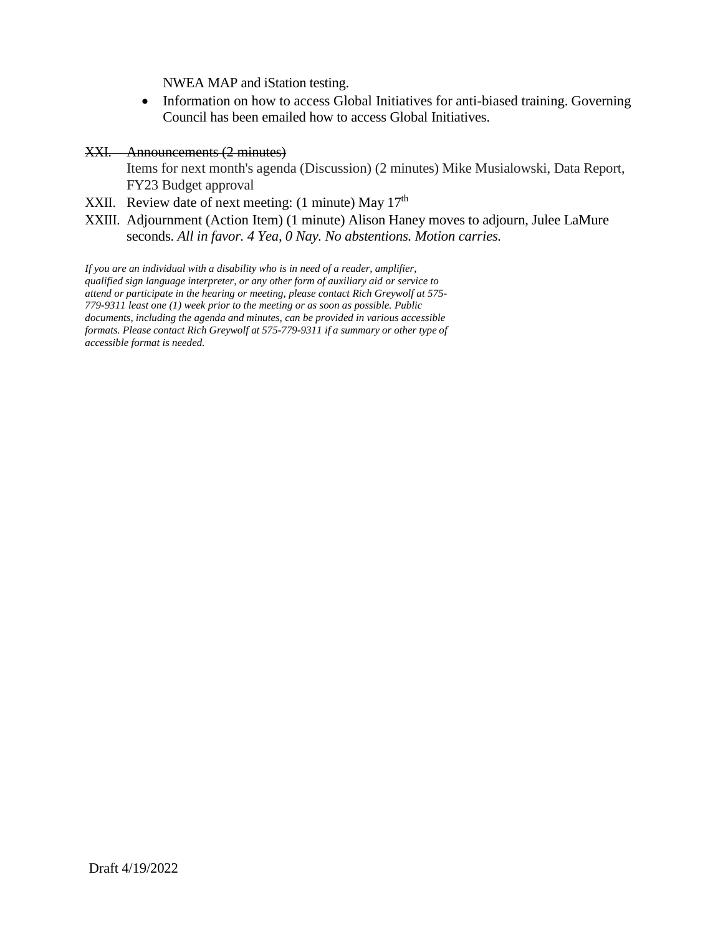NWEA MAP and iStation testing.

- Information on how to access Global Initiatives for anti-biased training. Governing Council has been emailed how to access Global Initiatives.
- XXI. Announcements (2 minutes)

Items for next month's agenda (Discussion) (2 minutes) Mike Musialowski, Data Report, FY23 Budget approval

- XXII. Review date of next meeting: (1 minute) May  $17<sup>th</sup>$
- XXIII. Adjournment (Action Item) (1 minute) Alison Haney moves to adjourn, Julee LaMure seconds. *All in favor. 4 Yea, 0 Nay. No abstentions. Motion carries.*

*If you are an individual with a disability who is in need of a reader, amplifier, qualified sign language interpreter, or any other form of auxiliary aid or service to attend or participate in the hearing or meeting, please contact Rich Greywolf at 575- 779-9311 least one (1) week prior to the meeting or as soon as possible. Public documents, including the agenda and minutes, can be provided in various accessible formats. Please contact Rich Greywolf at 575-779-9311 if a summary or other type of accessible format is needed.*